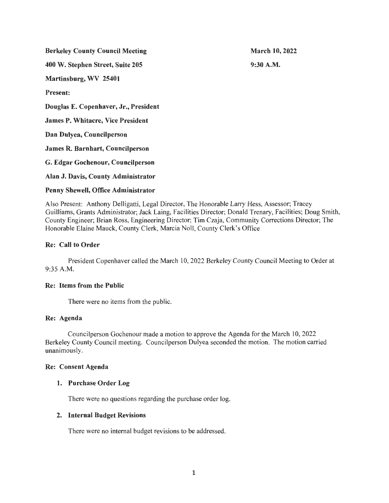Berkeley County Council Meeting 400 W. Stephen Street, Suite 205 Martinsburg, WV 25401 Present: Douglas E. Copenhaver, Jr., President James P. Whitacre, Vice President Dan Dulyea, Councilperson James R. Barnhart, Councilperson G. Edgar Gochenour, Councilperson Alan J. Davis, County Administrator March 10, 2022 9:30A.M.

## Penny Shewell, Office Administrator

Also Present: Anthony Delligatti, Legal Director, The Honorable Larry Hess, Assessor; Tracey Guilliams, Grants Administrator; Jack Laing, Facilities Director; Donald Trenary, Facilities; Doug Smith, County Engineer; Brian Ross, Engineering Director; Tim Czaja, Community Corrections Director; The Honorable Elaine Mauck, County Clerk, Marcia Noll, County Clerk's Office

## Re: Call to Order

President Copenhaver called the March 10, 2022 Berkeley County Council Meeting to Order at 9:35 A.M.

#### Re: Items from the Public

There were no items from the public.

# Re: Agenda

Councilperson Gochenour made a motion to approve the Agenda for the March 10, 2022 Berkeley County Council meeting. Councilperson Dulyea seconded the motion. The motion carried unanimously.

#### Re: Consent Agenda

#### 1. Purchase Order Log

There were no questions regarding the purchase order log.

#### 2. Internal Budget Revisions

There were no internal budget revisions to be addressed.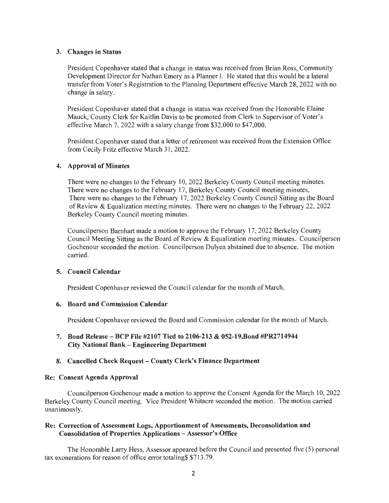# 3. Changes in Status

President Copenhaver stated that a change in status was received from Brian Ross, Community Development Director for Nathan Emery as a Planner I. He stated that this would be a lateral transfer from Voter's Registration to the Planning Department effective March 28, 2022 with no change in salary.

President Copenhaver stated that a change in status was received from the Honorable Elaine Mauck, County Clerk for Kaitlin Davis to be promoted from Clerk to Supervisor of Voter's effective March 7, 2022 with a salary change from \$32,000 to \$47,000.

President Copenhaver stated that a letter of retirement was received from the Extension Office from Cecily Fritz effective March 31, 2022.

## 4. Approval of Minutes

There were no changes to the February 10, 2022 Berkeley County Council meeting minutes. There were no changes to the February 17, Berkeley County Council meeting minutes, There were no changes to the February 17, 2022 Berkeley County Council Sitting as the Board of Review & Equalization meeting minutes. There were no changes to the February 22, 2022 Berkeley County Council meeting minutes.

Councilperson Barnhart made a motion to approve the February 17, 2022 Berkeley County Council Meeting Sitting as the Board of Review & Equalization meeting minutes. Councilperson Gochenour seconded the motion. Councilperson Dulyea abstained due to absence. The motion carried.

#### 5. Council Calendar

President Copenhaver reviewed the Council calendar for the month of March.

#### 6. Board and Commission Calendar

President Copenhaver reviewed the Board and Commission calendar for the month of March.

# 7. Bond Release-BCP File #2107 Tied to 2106-213 & 052-19,Bond #PR2714944 City National Bank-Engineering Department

# 8. Cancelled Check Request - County Clerk's Finance Department

#### Re: Consent Agenda Approval

Councilperson Gochenour made a motion to approve the Consent Agenda for the March 10, 2022 Berkeley County Council meeting. Vice President Whitacre seconded the motion. The motion carried unanimously.

# Re: Correction of Assessment Logs, Apportionment of Assessments, Deconsolidation and Consolidation of Properties Applications - Assessor's Office

The Honorable Larry Hess, Assessor appeared before the Council and presented five (5) personal tax exonerations for reason of office error totaling\$ \$713 .79.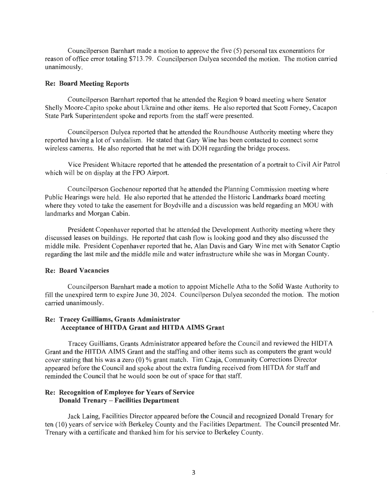Councilperson Barnhart made a motion to approve the five (5) personal tax exonerations for reason of office error totaling \$713.79. Councilperson Dulyea seconded the motion. The motion carried unanimously.

#### Re: Board Meeting Reports

Councilperson Barnhart reported that he attended the Region 9 board meeting where Senator Shelly Moore-Capito spoke about Ukraine and other items. He also reported that Scott Forney, Cacapon State Park Superintendent spoke and reports from the staff were presented.

Councilperson Dulyea reported that he attended the Roundhouse Authority meeting where they reported having a lot of vandalism. He stated that Gary Wine has been contacted to connect some wireless cameras. He also reported that he met with DOH regarding the bridge process.

Vice President Whitacre reported that he attended the presentation of a portrait to Civil Air Patrol which will be on display at the FPO Airport.

Councilperson Gochenour reported that he attended the Planning Commission meeting where Public Hearings were held. He also reported that he attended the Historic Landmarks board meeting where they voted to take the easement for Boydville and a discussion was held regarding an MOU with landmarks and Morgan Cabin.

President Copenhaver reported that he attended the Development Authority meeting where they discussed leases on buildings. He reported that cash flow is looking good and they also discussed the middle mile. President Copenhaver reported that he, Alan Davis and Gary Wine met with Senator Captio regarding the last mile and the middle mile and water infrastructure while she was in Morgan County.

#### Re: Board Vacancies

Councilperson Barnhart made a motion to appoint Michelle Atha to the Solid Waste Authority to fill the unexpired term to expire June 30, 2024. Councilperson Dulyea seconded the motion. The motion carried unanimously.

# Re: Tracey Guilliams, Grants Administrator Acceptance of HITDA Grant and HITDA AIMS Grant

Tracey Guilliams, Grants Administrator appeared before the Council and reviewed the HIDT A Grant and the HITDA AIMS Grant and the staffing and other items such as computers the grant would cover stating that his was a zero (0) % grant match. Tim Czaja, Community Corrections Director appeared before the Council and spoke about the extra funding received from HITDA for staff and reminded the Council that he would soon be out of space for that staff.

## Re: Recognition of Employee for Years of Service Donald Trenary - Facilities Department

Jack Laing, Facilities Director appeared before the Council and recognized Donald Trenary for ten (10) years of service with Berkeley County and the Facilities Department. The Council presented Mr. Trenary with a certificate and thanked him for his service to Berkeley County.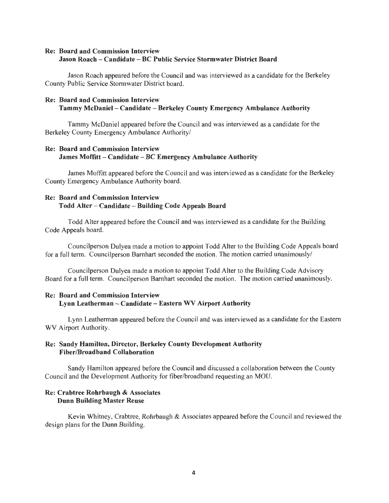# Re: Board and Commission Interview Jason Roach - Candidate - BC Public Service Stormwater District Board

Jason Roach appeared before the Council and was interviewed as a candidate for the Berkeley County Public Service Stormwater District board.

# Re: Board and Commission Interview Tammy McDaniel - Candidate - Berkeley County Emergency Ambulance Authority

Tammy McDaniel appeared before the Council and was interviewed as a candidate for the Berkeley County Emergency Ambulance Authority/

# Re: Board and Commission Interview James Moffitt - Candidate - BC Emergency Ambulance Authority

James Moffitt appeared before the Council and was interviewed as a candidate for the Berkeley County Emergency Ambulance Authority board.

# Re: Board and Commission Interview Todd Alter - Candidate - Building Code Appeals Board

Todd Alter appeared before the Council and was interviewed as a candidate for the Building Code Appeals board.

Councilperson Dulyea made a motion to appoint Todd Alter to the Building Code Appeals board for a full term. Councilperson Barnhart seconded the motion. The motion carried unanimously/

Councilperson Dulyea made a motion to appoint Todd Alter to the Building Code Advisory Board for a full term. Councilperson Barnhart seconded the motion. The motion carried unanimously.

# Re: Board and Commission Interview Lynn Leatherman - Candidate - Eastern WV Airport Authority

Lynn Leatherman appeared before the Council and was interviewed as a candidate for the Eastern WV Airport Authority.

# Re: Sandy Hamilton, Director, Berkeley County Development Authority Fiber/Broadband Collaboration

Sandy Hamilton appeared before the Council and discussed a collaboration between the County Council and the Development Authority for fiber/broadband requesting an MOU.

# Re: Crabtree Rohrbaugh & Associates Dunn Building Master Reuse

Kevin Whitney, Crabtree, Rohrbaugh & Associates appeared before the Council and reviewed the design plans for the Dunn Building.